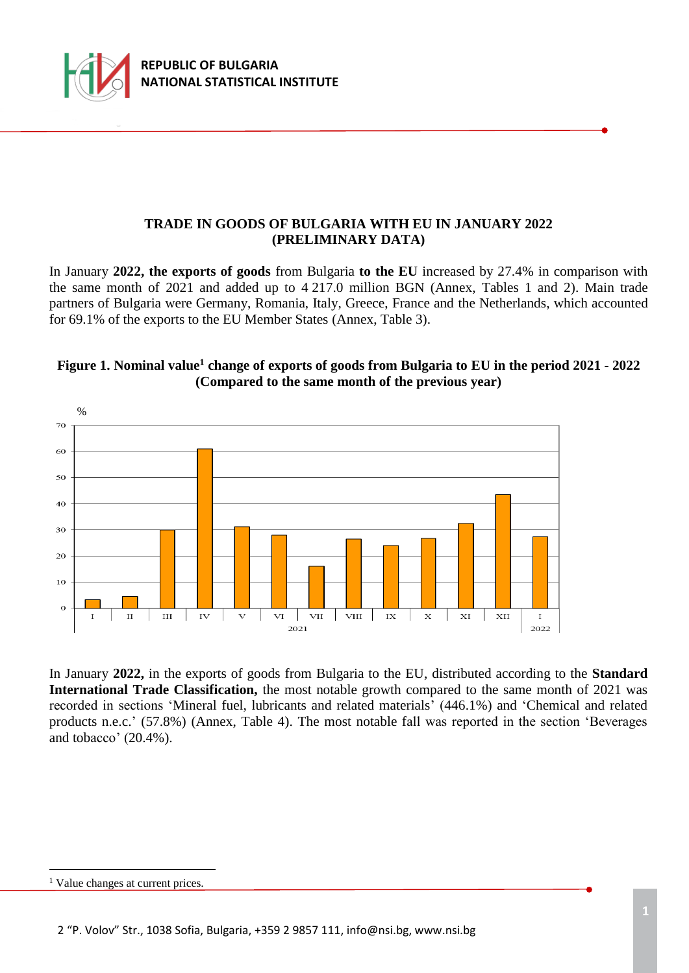

## **TRADE IN GOODS OF BULGARIA WITH EU IN JANUARY 2022 (PRELIMINARY DATA)**

In January **2022, the exports of goods** from Bulgaria **to the EU** increased by 27.4% in comparison with the same month of 2021 and added up to 4 217.0 million BGN (Annex, Tables 1 and 2). Main trade partners of Bulgaria were Germany, Romania, Italy, Greece, France and the Netherlands, which accounted for 69.1% of the exports to the EU Member States (Annex, Table 3).

## **Figure 1. Nominal value<sup>1</sup> change of exports of goods from Bulgaria to EU in the period 2021 - 2022 (Compared to the same month of the previous year)**



In January **2022,** in the exports of goods from Bulgaria to the EU, distributed according to the **Standard International Trade Classification,** the most notable growth compared to the same month of 2021 was recorded in sections 'Mineral fuel, lubricants and related materials' (446.1%) and 'Chemical and related products n.e.c.' (57.8%) (Annex, Table 4). The most notable fall was reported in the section 'Beverages and tobacco' (20.4%).

i<br>L

<sup>&</sup>lt;sup>1</sup> Value changes at current prices.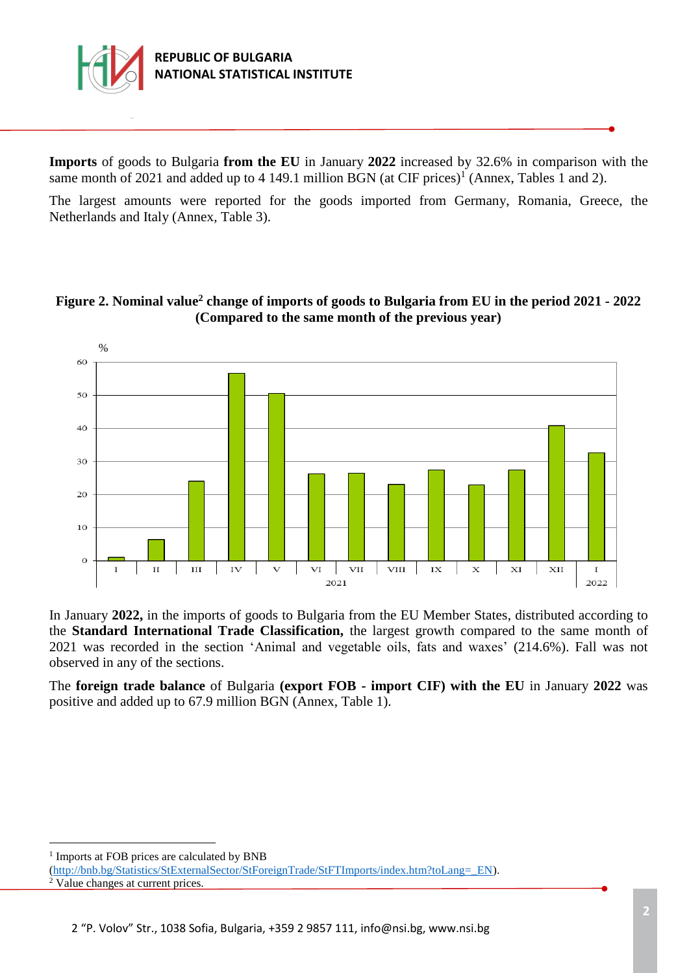

**Imports** of goods to Bulgaria **from the EU** in January **2022** increased by 32.6% in comparison with the same month of 2021 and added up to 4 149.1 million BGN (at CIF prices)<sup>1</sup> (Annex, Tables 1 and 2).

The largest amounts were reported for the goods imported from Germany, Romania, Greece, the Netherlands and Italy (Annex, Table 3).

## **Figure 2. Nominal value<sup>2</sup> change of imports of goods to Bulgaria from EU in the period 2021 - 2022 (Compared to the same month of the previous year)**



In January **2022,** in the imports of goods to Bulgaria from the EU Member States, distributed according to the **Standard International Trade Classification,** the largest growth compared to the same month of 2021 was recorded in the section 'Animal and vegetable oils, fats and waxes' (214.6%). Fall was not observed in any of the sections.

The **foreign trade balance** of Bulgaria **(export FOB - import CIF) with the EU** in January **2022** was positive and added up to 67.9 million BGN (Annex, Table 1).

i<br>L

<sup>&</sup>lt;sup>1</sup> Imports at FOB prices are calculated by BNB

[<sup>\(</sup>http://bnb.bg/Statistics/StExternalSector/StForeignTrade/StFTImports/index.htm?toLang=\\_EN\)](http://bnb.bg/Statistics/StExternalSector/StForeignTrade/StFTImports/index.htm?toLang=_EN). <sup>2</sup> Value changes at current prices.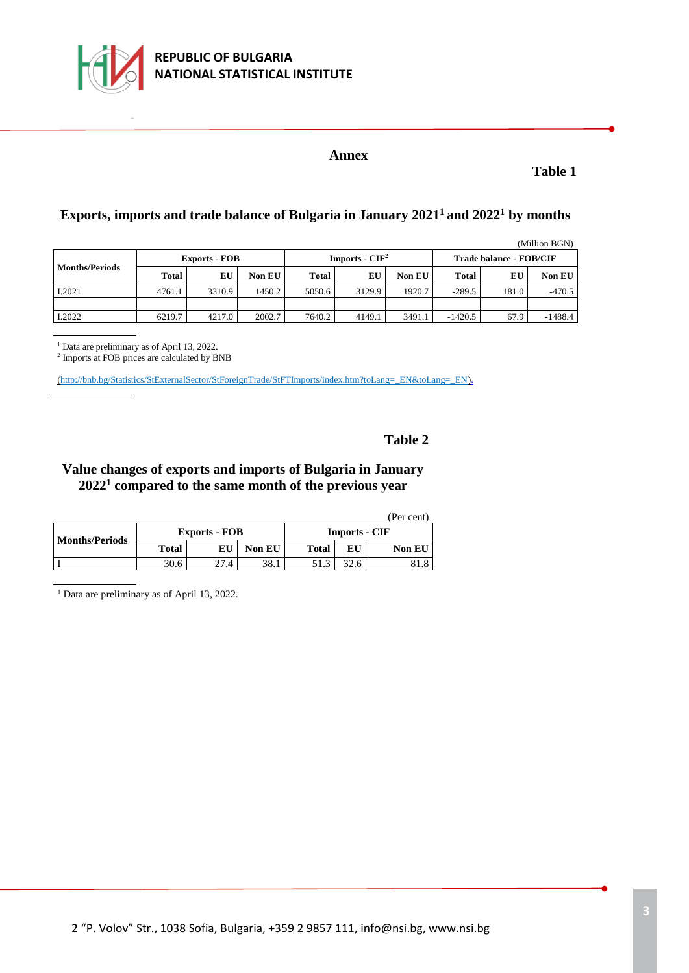

## **REPUBLIC OF BULGARIA NATIONAL STATISTICAL INSTITUTE**

### **Annex**

**Table 1**

## **Exports, imports and trade balance of Bulgaria in January 2021<sup>1</sup>and 2022<sup>1</sup> by months**

(Million BGN)

| <b>Months/Periods</b> | <b>Exports - FOB</b> |        |               |              | Imports - $CIF2$ |               | <b>Trade balance - FOB/CIF</b> |       |               |
|-----------------------|----------------------|--------|---------------|--------------|------------------|---------------|--------------------------------|-------|---------------|
|                       | Total                | Eί     | <b>Non EU</b> | <b>Total</b> | EU               | <b>Non EU</b> | <b>Total</b>                   | EU    | <b>Non EU</b> |
| I.2021                | 4761.1               | 3310.9 | 1450.2        | 5050.6       | 3129.9           | 1920.7        | $-289.5$                       | 181.0 | $-470.5$      |
|                       |                      |        |               |              |                  |               |                                |       |               |
| I.2022                | 6219.7               | 4217.0 | 2002.7        | 7640.2       | 4149.1           | 3491.1        | $-1420.5$                      | 67.9  | $-1488.4$     |

<sup>1</sup> Data are preliminary as of April 13, 2022.

2 Imports at FOB prices are calculated by BNB

[\(http://bnb.bg/Statistics/StExternalSector/StForeignTrade/StFTImports/index.htm?toLang=\\_EN&toLang=\\_EN\).](http://bnb.bg/Statistics/StExternalSector/StForeignTrade/StFTImports/index.htm?toLang=_EN&toLang=_EN)

## **Table 2**

## **Value changes of exports and imports of Bulgaria in January 2022<sup>1</sup> compared to the same month of the previous year**

| (Per cent)            |       |                      |               |                      |    |               |  |  |  |  |
|-----------------------|-------|----------------------|---------------|----------------------|----|---------------|--|--|--|--|
| <b>Months/Periods</b> |       | <b>Exports - FOB</b> |               | <b>Imports - CIF</b> |    |               |  |  |  |  |
|                       | Total | EU                   | <b>Non EU</b> | <b>Total</b>         | EU | <b>Non EU</b> |  |  |  |  |
|                       | 30.6  | 27.4                 | 38.1          |                      |    | 81.8          |  |  |  |  |

<sup>1</sup> Data are preliminary as of April 13, 2022.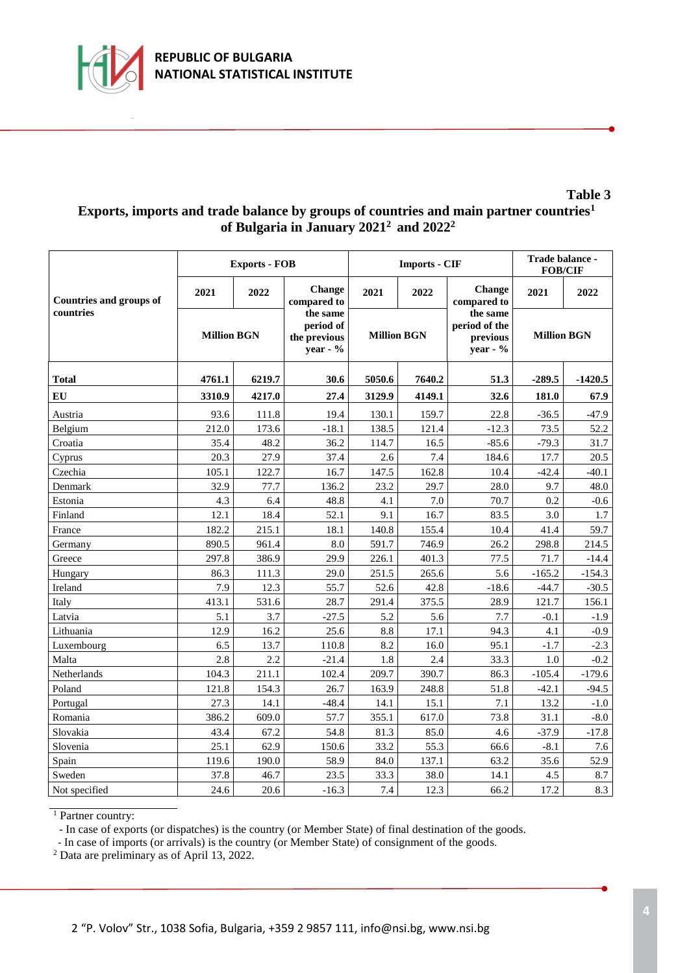

## **Exports, imports and trade balance by groups of countries and main partner countries<sup>1</sup> of Bulgaria in January 2021 <sup>2</sup> and 2022 2**

|                                             |                    | <b>Exports - FOB</b> |                                                     |                    | <b>Imports - CIF</b> | Trade balance -<br><b>FOB/CIF</b>                 |                    |           |
|---------------------------------------------|--------------------|----------------------|-----------------------------------------------------|--------------------|----------------------|---------------------------------------------------|--------------------|-----------|
| <b>Countries and groups of</b><br>countries | 2021               | 2022                 | Change<br>compared to                               | 2021               | 2022                 | <b>Change</b><br>compared to                      | 2021               | 2022      |
|                                             | <b>Million BGN</b> |                      | the same<br>period of<br>the previous<br>year - $%$ | <b>Million BGN</b> |                      | the same<br>period of the<br>previous<br>year - % | <b>Million BGN</b> |           |
| <b>Total</b>                                | 4761.1<br>6219.7   |                      | 30.6                                                | 5050.6             | 7640.2               |                                                   | $-289.5$           | $-1420.5$ |
| EU                                          | 3310.9             | 4217.0               | 27.4                                                | 3129.9             | 4149.1               | 32.6                                              | 181.0              | 67.9      |
| Austria                                     | 93.6               | 111.8                | 19.4                                                | 130.1              | 159.7                | 22.8                                              | $-36.5$            | $-47.9$   |
| Belgium                                     | 212.0              | 173.6                | $-18.1$                                             | 138.5              | 121.4                | $-12.3$                                           | 73.5               | 52.2      |
| Croatia                                     | 35.4               | 48.2                 | 36.2                                                | 114.7              | 16.5                 | $-85.6$                                           | $-79.3$            | 31.7      |
| Cyprus                                      | 20.3               | 27.9                 | 37.4                                                | 2.6                | 7.4                  | 184.6                                             | 17.7               | 20.5      |
| Czechia                                     | 105.1              | 122.7                | 16.7                                                | 147.5              | 162.8                | 10.4                                              | $-42.4$            | $-40.1$   |
| Denmark                                     | 32.9               | 77.7                 | 136.2                                               | 23.2               | 29.7                 | 28.0                                              | 9.7                | 48.0      |
| Estonia                                     | 4.3                | 6.4                  | 48.8                                                | 4.1                | 7.0                  | 70.7                                              | 0.2                | $-0.6$    |
| Finland                                     | 12.1               | 18.4                 | 52.1                                                | 9.1                | 16.7                 | 83.5                                              | 3.0                | 1.7       |
| France                                      | 182.2              | 215.1                | 18.1                                                | 140.8              | 155.4                | 10.4                                              | 41.4               | 59.7      |
| Germany                                     | 890.5              | 961.4                | 8.0                                                 | 591.7              | 746.9                | 26.2                                              | 298.8              | 214.5     |
| Greece                                      | 297.8              | 386.9                | 29.9                                                | 226.1              | 401.3                | 77.5                                              | 71.7               | $-14.4$   |
| Hungary                                     | 86.3               | 111.3                | 29.0                                                | 251.5              | 265.6                | 5.6                                               | $-165.2$           | $-154.3$  |
| Ireland                                     | 7.9                | 12.3                 | 55.7                                                | 52.6               | 42.8                 | $-18.6$                                           | $-44.7$            | $-30.5$   |
| Italy                                       | 413.1              | 531.6                | 28.7                                                | 291.4              | 375.5                | 28.9                                              | 121.7              | 156.1     |
| Latvia                                      | 5.1                | 3.7                  | $-27.5$                                             | 5.2                | 5.6                  | 7.7                                               | $-0.1$             | $-1.9$    |
| Lithuania                                   | 12.9               | 16.2                 | 25.6                                                | 8.8                | 17.1                 | 94.3                                              | 4.1                | $-0.9$    |
| Luxembourg                                  | 6.5                | 13.7                 | 110.8                                               | 8.2                | 16.0                 | 95.1                                              | $-1.7$             | $-2.3$    |
| Malta                                       | 2.8                | 2.2                  | $-21.4$                                             | 1.8                | 2.4                  | 33.3                                              | 1.0                | $-0.2$    |
| Netherlands                                 | 104.3              | 211.1                | 102.4                                               | 209.7              | 390.7                | 86.3                                              | $-105.4$           | $-179.6$  |
| Poland                                      | 121.8              | 154.3                | 26.7                                                | 163.9              | 248.8                | 51.8                                              | $-42.1$            | $-94.5$   |
| Portugal                                    | 27.3               | 14.1                 | $-48.4$                                             | 14.1               | 15.1                 | 7.1                                               | 13.2               | $-1.0$    |
| Romania                                     | 386.2              | 609.0                | 57.7                                                | 355.1              | 617.0                | 73.8                                              | 31.1               | $-8.0$    |
| Slovakia                                    | 43.4               | 67.2                 | 54.8                                                | 81.3               | 85.0                 | 4.6                                               | $-37.9$            | $-17.8$   |
| Slovenia                                    | 25.1               | 62.9                 | 150.6                                               | 33.2               | 55.3                 | 66.6                                              | $-8.1$             | 7.6       |
| Spain                                       | 119.6              | 190.0                | 58.9                                                | 84.0               | 137.1                | 63.2                                              | 35.6               | 52.9      |
| Sweden                                      | 37.8               | 46.7                 | 23.5                                                | 33.3               | 38.0                 | 14.1                                              | 4.5                | 8.7       |
| Not specified                               | 24.6               | 20.6                 | $-16.3$                                             | 7.4                | 12.3                 | 66.2                                              | 17.2               | 8.3       |

<sup>1</sup> Partner country:

- In case of exports (or dispatches) is the country (or Member State) of final destination of the goods.

- In case of imports (or arrivals) is the country (or Member State) of consignment of the goods.

<sup>2</sup> Data are preliminary as of April 13, 2022.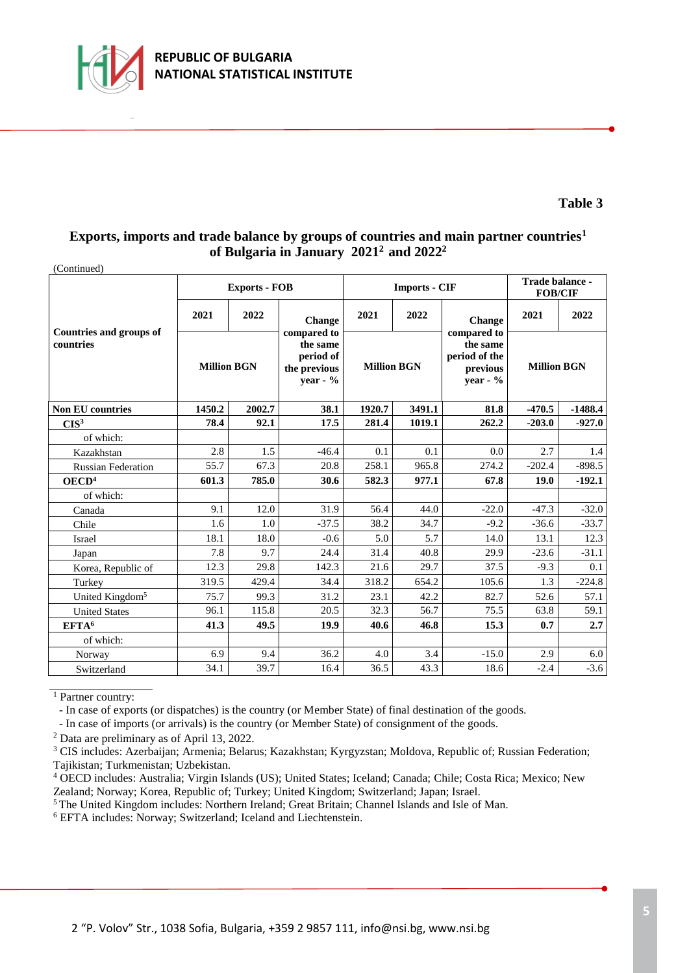

### **Exports, imports and trade balance by groups of countries and main partner countries<sup>1</sup> of Bulgaria in January 2021 <sup>2</sup>and 2022 2**

| (Continued)                          |                    |                      |                                                                  |                    |                      |                                                                  |                    |           |
|--------------------------------------|--------------------|----------------------|------------------------------------------------------------------|--------------------|----------------------|------------------------------------------------------------------|--------------------|-----------|
|                                      |                    | <b>Exports - FOB</b> |                                                                  |                    | <b>Imports - CIF</b> | Trade balance -<br><b>FOB/CIF</b>                                |                    |           |
|                                      | 2021               | 2022                 | Change                                                           | 2021               | 2022                 | Change                                                           | 2021               | 2022      |
| Countries and groups of<br>countries | <b>Million BGN</b> |                      | compared to<br>the same<br>period of<br>the previous<br>year - % | <b>Million BGN</b> |                      | compared to<br>the same<br>period of the<br>previous<br>year - % | <b>Million BGN</b> |           |
| <b>Non EU countries</b>              | 1450.2<br>2002.7   |                      | 38.1                                                             | 1920.7             | 3491.1               | 81.8                                                             | $-470.5$           | $-1488.4$ |
| CIS <sup>3</sup>                     | 78.4               | 92.1                 | 17.5                                                             | 281.4              | 1019.1               | 262.2                                                            | $-203.0$           | $-927.0$  |
| of which:                            |                    |                      |                                                                  |                    |                      |                                                                  |                    |           |
| Kazakhstan                           | 2.8                | 1.5                  | $-46.4$                                                          | 0.1                | 0.1                  | 0.0                                                              | 2.7                | 1.4       |
| <b>Russian Federation</b>            | 55.7               | 67.3                 | 20.8                                                             | 258.1              | 965.8                | 274.2                                                            | $-202.4$           | $-898.5$  |
| OECD <sup>4</sup>                    | 601.3              | 785.0                | 30.6                                                             | 582.3              | 977.1                | 67.8                                                             | 19.0               | $-192.1$  |
| of which:                            |                    |                      |                                                                  |                    |                      |                                                                  |                    |           |
| Canada                               | 9.1                | 12.0                 | 31.9                                                             | 56.4               | 44.0                 | $-22.0$                                                          | $-47.3$            | $-32.0$   |
| Chile                                | 1.6                | 1.0                  | $-37.5$                                                          | 38.2               | 34.7                 | $-9.2$                                                           | $-36.6$            | $-33.7$   |
| Israel                               | 18.1               | 18.0                 | $-0.6$                                                           | 5.0                | 5.7                  | 14.0                                                             | 13.1               | 12.3      |
| Japan                                | 7.8                | 9.7                  | 24.4                                                             | 31.4               | 40.8                 | 29.9                                                             | $-23.6$            | $-31.1$   |
| Korea, Republic of                   | 12.3               | 29.8                 | 142.3                                                            | 21.6               | 29.7                 | 37.5                                                             | $-9.3$             | 0.1       |
| Turkey                               | 319.5              | 429.4                | 34.4                                                             | 318.2              | 654.2                | 105.6                                                            | 1.3                | $-224.8$  |
| United Kingdom <sup>5</sup>          | 75.7               | 99.3                 | 31.2                                                             | 23.1               | 42.2                 | 82.7                                                             | 52.6               | 57.1      |
| <b>United States</b>                 | 96.1               | 115.8                | 20.5                                                             | 32.3               | 56.7                 | 75.5                                                             | 63.8               | 59.1      |
| EFTA <sup>6</sup>                    | 41.3               | 49.5                 | 19.9                                                             | 40.6               | 46.8                 | 15.3                                                             | 0.7                | 2.7       |
| of which:                            |                    |                      |                                                                  |                    |                      |                                                                  |                    |           |
| Norway                               | 6.9                | 9.4                  | 36.2                                                             | 4.0                | 3.4                  | $-15.0$                                                          | 2.9                | 6.0       |
| Switzerland                          | 34.1               | 39.7                 | 16.4                                                             | 36.5               | 43.3                 | 18.6                                                             | $-2.4$             | $-3.6$    |

<sup>1</sup> Partner country:

- In case of exports (or dispatches) is the country (or Member State) of final destination of the goods.

- In case of imports (or arrivals) is the country (or Member State) of consignment of the goods.

<sup>2</sup> Data are preliminary as of April 13, 2022.

<sup>3</sup> CIS includes: Azerbaijan; Armenia; Belarus; Kazakhstan; Kyrgyzstan; Moldova, Republic of; Russian Federation; Tajikistan; Turkmenistan; Uzbekistan.

<sup>4</sup> OECD includes: Australia; Virgin Islands (US); United States; Iceland; Canada; Chile; Costa Rica; Mexico; New Zealand; Norway; Korea, Republic of; Turkey; United Kingdom; Switzerland; Japan; Israel.

<sup>5</sup>The United Kingdom includes: Northern Ireland; Great Britain; Channel Islands and Isle of Man.

<sup>6</sup> EFTA includes: Norway; Switzerland; Iceland and Liechtenstein.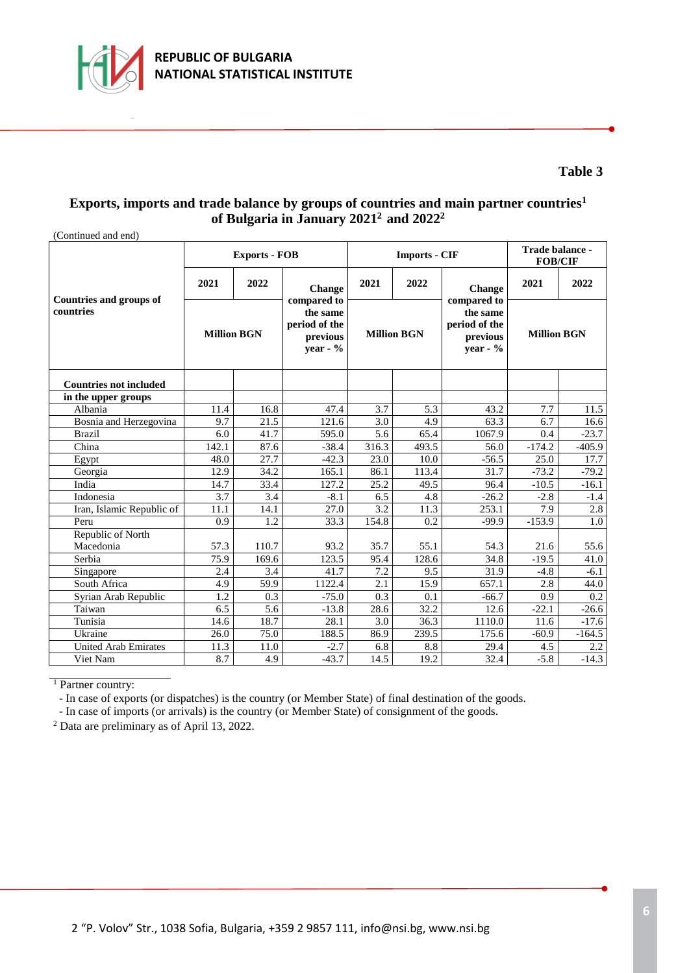

### **Exports, imports and trade balance by groups of countries and main partner countries<sup>1</sup> of Bulgaria in January 2021 <sup>2</sup>and 2022 2**

| (Continued and end)                         |                    |                      |                                                                     |                    |                      |                                                                    |                    |          |
|---------------------------------------------|--------------------|----------------------|---------------------------------------------------------------------|--------------------|----------------------|--------------------------------------------------------------------|--------------------|----------|
|                                             |                    | <b>Exports - FOB</b> |                                                                     |                    | <b>Imports - CIF</b> | Trade balance -<br><b>FOB/CIF</b>                                  |                    |          |
| <b>Countries and groups of</b><br>countries | 2021               | 2022                 | Change                                                              | 2021               | 2022                 | Change                                                             | 2021               | 2022     |
|                                             | <b>Million BGN</b> |                      | compared to<br>the same<br>period of the<br>previous<br>year - $\%$ | <b>Million BGN</b> |                      | compared to<br>the same<br>period of the<br>previous<br>vear - $%$ | <b>Million BGN</b> |          |
| <b>Countries not included</b>               |                    |                      |                                                                     |                    |                      |                                                                    |                    |          |
| in the upper groups                         |                    |                      |                                                                     |                    |                      |                                                                    |                    |          |
| Albania                                     | 11.4               | 16.8                 | 47.4                                                                | 3.7                | 5.3                  | 43.2                                                               | 7.7                | 11.5     |
| Bosnia and Herzegovina                      | 9.7                | 21.5                 | 121.6                                                               | 3.0                | 4.9                  | 63.3                                                               | 6.7                | 16.6     |
| <b>Brazil</b>                               | 6.0                | 41.7                 | 595.0                                                               | 5.6                | 65.4                 | 1067.9                                                             | 0.4                | $-23.7$  |
| China                                       | 142.1              | 87.6                 | $-38.4$                                                             | 316.3              | 493.5                | 56.0                                                               | $-174.2$           | $-405.9$ |
| Egypt                                       | 48.0               | 27.7                 | $-42.3$                                                             | 23.0               | 10.0                 | $-56.5$                                                            | 25.0               | 17.7     |
| Georgia                                     | 12.9               | 34.2                 | 165.1                                                               | 86.1               | 113.4                | 31.7                                                               | $-73.2$            | $-79.2$  |
| India                                       | 14.7               | 33.4                 | 127.2                                                               | 25.2               | 49.5                 | 96.4                                                               | $-10.5$            | $-16.1$  |
| Indonesia                                   | 3.7                | 3.4                  | $-8.1$                                                              | 6.5                | 4.8                  | $-26.2$                                                            | $-2.8$             | $-1.4$   |
| Iran, Islamic Republic of                   | 11.1               | 14.1                 | 27.0                                                                | 3.2                | 11.3                 | 253.1                                                              | 7.9                | 2.8      |
| Peru                                        | 0.9                | 1.2                  | 33.3                                                                | 154.8              | 0.2                  | $-99.9$                                                            | $-153.9$           | 1.0      |
| Republic of North                           |                    |                      |                                                                     |                    |                      |                                                                    |                    |          |
| Macedonia                                   | 57.3               | 110.7                | 93.2                                                                | 35.7               | 55.1                 | 54.3                                                               | 21.6               | 55.6     |
| Serbia                                      | 75.9               | 169.6                | 123.5                                                               | 95.4               | 128.6                | 34.8                                                               | $-19.5$            | 41.0     |
| Singapore                                   | 2.4                | 3.4                  | 41.7                                                                | 7.2                | 9.5                  | 31.9                                                               | $-4.8$             | $-6.1$   |
| South Africa                                | 4.9                | 59.9                 | 1122.4                                                              | 2.1                | $15.\overline{9}$    | 657.1                                                              | 2.8                | 44.0     |
| Syrian Arab Republic                        | $\overline{1.2}$   | 0.3                  | $-75.0$                                                             | 0.3                | 0.1                  | $-66.7$                                                            | 0.9                | 0.2      |
| Taiwan                                      | 6.5                | $\overline{5.6}$     | $-13.8$                                                             | 28.6               | 32.2                 | 12.6                                                               | $-22.1$            | $-26.6$  |
| Tunisia                                     | 14.6               | 18.7                 | 28.1                                                                | 3.0                | 36.3                 | 1110.0                                                             | 11.6               | $-17.6$  |
| Ukraine                                     | 26.0               | 75.0                 | 188.5                                                               | 86.9               | 239.5                | 175.6                                                              | $-60.9$            | $-164.5$ |
| <b>United Arab Emirates</b>                 | 11.3               | 11.0                 | $-2.7$                                                              | 6.8                | 8.8                  | 29.4                                                               | 4.5                | 2.2      |
| Viet Nam                                    | 8.7                | 4.9                  | $-43.7$                                                             | 14.5               | 19.2                 | 32.4                                                               | $-5.8$             | $-14.3$  |

<sup>1</sup> Partner country:

- In case of exports (or dispatches) is the country (or Member State) of final destination of the goods.

- In case of imports (or arrivals) is the country (or Member State) of consignment of the goods.

<sup>2</sup> Data are preliminary as of April 13, 2022.